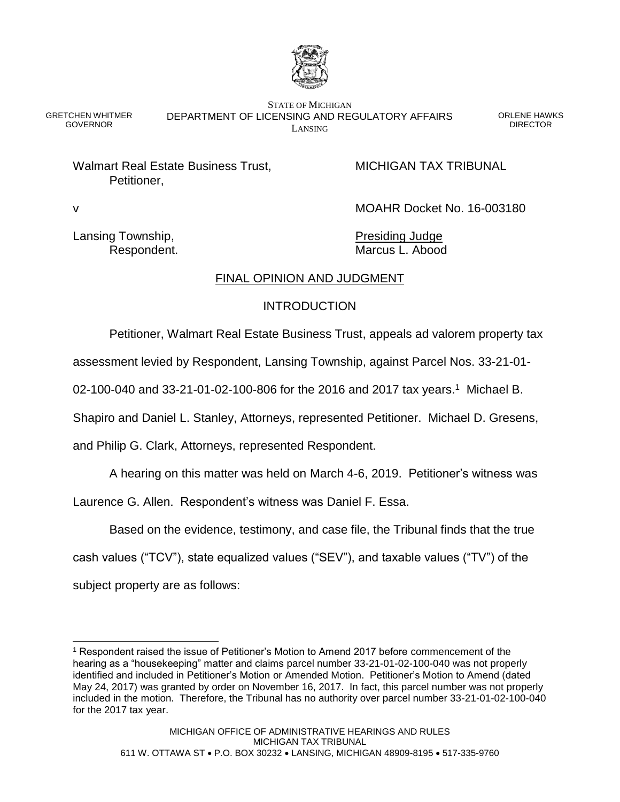

GRETCHEN WHITMER **GOVERNOR** 

STATE OF MICHIGAN DEPARTMENT OF LICENSING AND REGULATORY AFFAIRS LANSING

ORLENE HAWKS **DIRECTOR** 

Walmart Real Estate Business Trust, MICHIGAN TAX TRIBUNAL Petitioner,

v MOAHR Docket No. 16-003180

Lansing Township, The Contract of the Presiding Judge

Respondent. The contract of the Marcus L. Abood

## FINAL OPINION AND JUDGMENT

# INTRODUCTION

Petitioner, Walmart Real Estate Business Trust, appeals ad valorem property tax

assessment levied by Respondent, Lansing Township, against Parcel Nos. 33-21-01-

02-100-040 and 33-21-01-02-100-806 for the 2016 and 2017 tax years.<sup>1</sup> Michael B.

Shapiro and Daniel L. Stanley, Attorneys, represented Petitioner. Michael D. Gresens,

and Philip G. Clark, Attorneys, represented Respondent.

A hearing on this matter was held on March 4-6, 2019. Petitioner's witness was

Laurence G. Allen. Respondent's witness was Daniel F. Essa.

Based on the evidence, testimony, and case file, the Tribunal finds that the true

cash values ("TCV"), state equalized values ("SEV"), and taxable values ("TV") of the

subject property are as follows:

l <sup>1</sup> Respondent raised the issue of Petitioner's Motion to Amend 2017 before commencement of the hearing as a "housekeeping" matter and claims parcel number 33-21-01-02-100-040 was not properly identified and included in Petitioner's Motion or Amended Motion. Petitioner's Motion to Amend (dated May 24, 2017) was granted by order on November 16, 2017. In fact, this parcel number was not properly included in the motion. Therefore, the Tribunal has no authority over parcel number 33-21-01-02-100-040 for the 2017 tax year.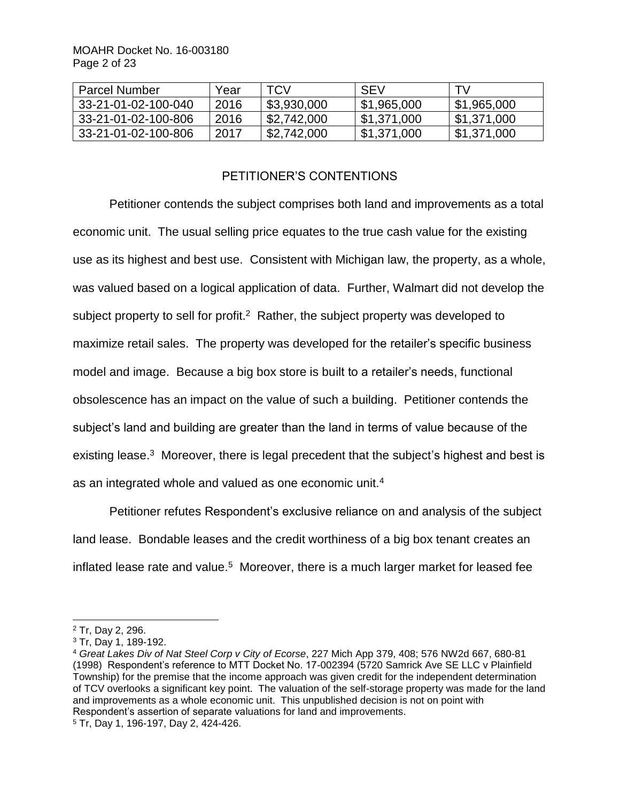| <b>Parcel Number</b> | Year | <b>TCV</b>  | <b>SFV</b>  | - TV                      |
|----------------------|------|-------------|-------------|---------------------------|
| 33-21-01-02-100-040  | 2016 | \$3,930,000 | \$1,965,000 | \$1,965,000               |
| 33-21-01-02-100-806  | 2016 | \$2,742,000 | \$1,371,000 | 51,371,000                |
| 33-21-01-02-100-806  | 2017 | \$2,742,000 | \$1,371,000 | $\frac{1}{2}$ \$1,371,000 |

## PETITIONER'S CONTENTIONS

Petitioner contends the subject comprises both land and improvements as a total economic unit. The usual selling price equates to the true cash value for the existing use as its highest and best use. Consistent with Michigan law, the property, as a whole, was valued based on a logical application of data. Further, Walmart did not develop the subject property to sell for profit.<sup>2</sup> Rather, the subject property was developed to maximize retail sales. The property was developed for the retailer's specific business model and image. Because a big box store is built to a retailer's needs, functional obsolescence has an impact on the value of such a building. Petitioner contends the subject's land and building are greater than the land in terms of value because of the existing lease.<sup>3</sup> Moreover, there is legal precedent that the subject's highest and best is as an integrated whole and valued as one economic unit.<sup>4</sup>

Petitioner refutes Respondent's exclusive reliance on and analysis of the subject land lease. Bondable leases and the credit worthiness of a big box tenant creates an inflated lease rate and value.<sup>5</sup> Moreover, there is a much larger market for leased fee

<sup>2</sup> Tr, Day 2, 296.

<sup>3</sup> Tr, Day 1, 189-192.

<sup>4</sup> *Great Lakes Div of Nat Steel Corp v City of Ecorse*, 227 Mich App 379, 408; 576 NW2d 667, 680-81 (1998) Respondent's reference to MTT Docket No. 17-002394 (5720 Samrick Ave SE LLC v Plainfield Township) for the premise that the income approach was given credit for the independent determination of TCV overlooks a significant key point. The valuation of the self-storage property was made for the land and improvements as a whole economic unit. This unpublished decision is not on point with Respondent's assertion of separate valuations for land and improvements.

<sup>5</sup> Tr, Day 1, 196-197, Day 2, 424-426.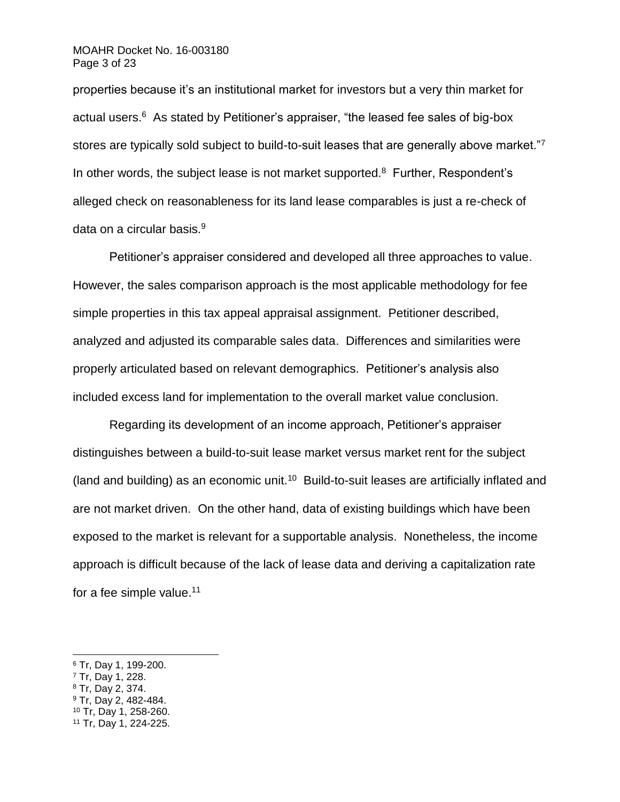#### MOAHR Docket No. 16-003180 Page 3 of 23

properties because it's an institutional market for investors but a very thin market for actual users. $^6$  As stated by Petitioner's appraiser, "the leased fee sales of big-box stores are typically sold subject to build-to-suit leases that are generally above market."7 In other words, the subject lease is not market supported. $8$  Further, Respondent's alleged check on reasonableness for its land lease comparables is just a re-check of data on a circular basis.<sup>9</sup>

Petitioner's appraiser considered and developed all three approaches to value. However, the sales comparison approach is the most applicable methodology for fee simple properties in this tax appeal appraisal assignment. Petitioner described, analyzed and adjusted its comparable sales data. Differences and similarities were properly articulated based on relevant demographics. Petitioner's analysis also included excess land for implementation to the overall market value conclusion.

Regarding its development of an income approach, Petitioner's appraiser distinguishes between a build-to-suit lease market versus market rent for the subject (land and building) as an economic unit.<sup>10</sup> Build-to-suit leases are artificially inflated and are not market driven. On the other hand, data of existing buildings which have been exposed to the market is relevant for a supportable analysis. Nonetheless, the income approach is difficult because of the lack of lease data and deriving a capitalization rate for a fee simple value.<sup>11</sup>

<sup>6</sup> Tr, Day 1, 199-200.

<sup>7</sup> Tr, Day 1, 228.

<sup>8</sup> Tr, Day 2, 374.

<sup>9</sup> Tr, Day 2, 482-484.

<sup>10</sup> Tr, Day 1, 258-260.

<sup>11</sup> Tr, Day 1, 224-225.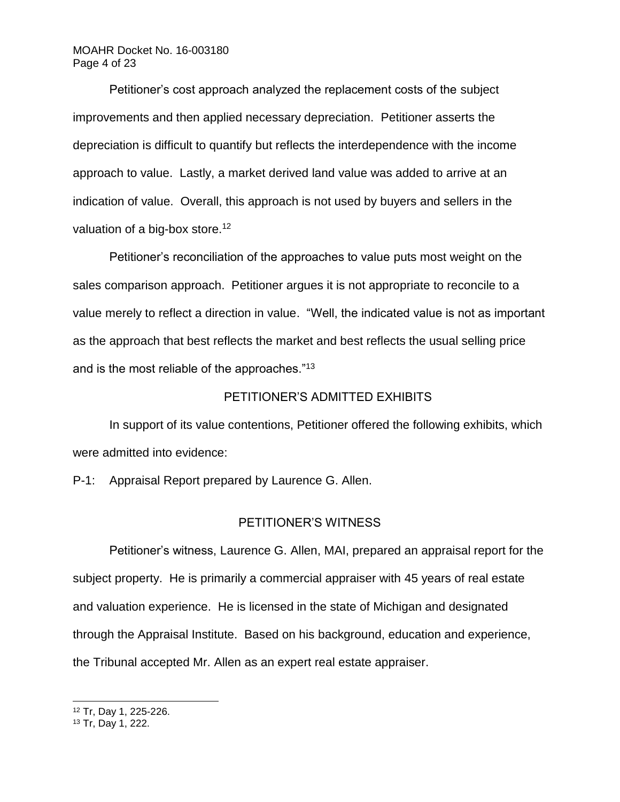### MOAHR Docket No. 16-003180 Page 4 of 23

Petitioner's cost approach analyzed the replacement costs of the subject improvements and then applied necessary depreciation. Petitioner asserts the depreciation is difficult to quantify but reflects the interdependence with the income approach to value. Lastly, a market derived land value was added to arrive at an indication of value. Overall, this approach is not used by buyers and sellers in the valuation of a big-box store.<sup>12</sup>

Petitioner's reconciliation of the approaches to value puts most weight on the sales comparison approach. Petitioner argues it is not appropriate to reconcile to a value merely to reflect a direction in value. "Well, the indicated value is not as important as the approach that best reflects the market and best reflects the usual selling price and is the most reliable of the approaches."<sup>13</sup>

### PETITIONER'S ADMITTED EXHIBITS

In support of its value contentions, Petitioner offered the following exhibits, which were admitted into evidence:

P-1: Appraisal Report prepared by Laurence G. Allen.

#### PETITIONER'S WITNESS

Petitioner's witness, Laurence G. Allen, MAI, prepared an appraisal report for the subject property. He is primarily a commercial appraiser with 45 years of real estate and valuation experience. He is licensed in the state of Michigan and designated through the Appraisal Institute. Based on his background, education and experience, the Tribunal accepted Mr. Allen as an expert real estate appraiser.

<sup>12</sup> Tr, Day 1, 225-226.

<sup>13</sup> Tr, Day 1, 222.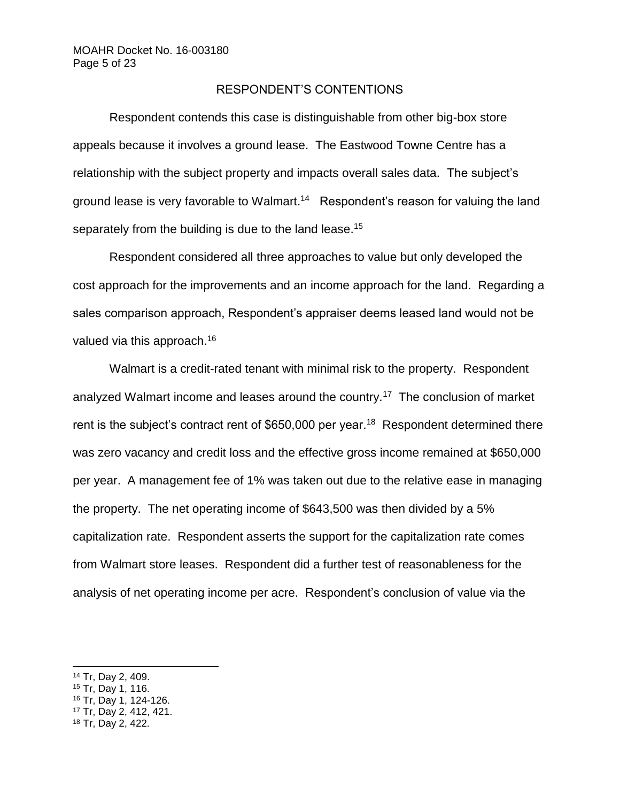### RESPONDENT'S CONTENTIONS

Respondent contends this case is distinguishable from other big-box store appeals because it involves a ground lease. The Eastwood Towne Centre has a relationship with the subject property and impacts overall sales data. The subject's ground lease is very favorable to Walmart.<sup>14</sup> Respondent's reason for valuing the land separately from the building is due to the land lease.<sup>15</sup>

Respondent considered all three approaches to value but only developed the cost approach for the improvements and an income approach for the land. Regarding a sales comparison approach, Respondent's appraiser deems leased land would not be valued via this approach.<sup>16</sup>

Walmart is a credit-rated tenant with minimal risk to the property. Respondent analyzed Walmart income and leases around the country.<sup>17</sup> The conclusion of market rent is the subject's contract rent of \$650,000 per year.<sup>18</sup> Respondent determined there was zero vacancy and credit loss and the effective gross income remained at \$650,000 per year. A management fee of 1% was taken out due to the relative ease in managing the property. The net operating income of \$643,500 was then divided by a 5% capitalization rate. Respondent asserts the support for the capitalization rate comes from Walmart store leases. Respondent did a further test of reasonableness for the analysis of net operating income per acre. Respondent's conclusion of value via the

- <sup>16</sup> Tr, Day 1, 124-126.
- <sup>17</sup> Tr, Day 2, 412, 421.
- <sup>18</sup> Tr, Day 2, 422.

<sup>14</sup> Tr, Day 2, 409.

<sup>15</sup> Tr, Day 1, 116.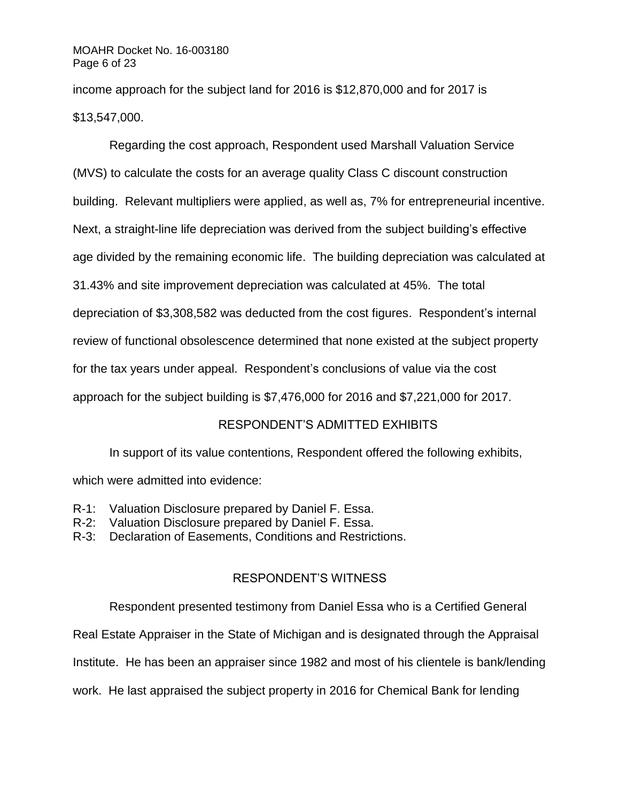income approach for the subject land for 2016 is \$12,870,000 and for 2017 is \$13,547,000.

Regarding the cost approach, Respondent used Marshall Valuation Service (MVS) to calculate the costs for an average quality Class C discount construction building. Relevant multipliers were applied, as well as, 7% for entrepreneurial incentive. Next, a straight-line life depreciation was derived from the subject building's effective age divided by the remaining economic life. The building depreciation was calculated at 31.43% and site improvement depreciation was calculated at 45%. The total depreciation of \$3,308,582 was deducted from the cost figures. Respondent's internal review of functional obsolescence determined that none existed at the subject property for the tax years under appeal. Respondent's conclusions of value via the cost approach for the subject building is \$7,476,000 for 2016 and \$7,221,000 for 2017.

## RESPONDENT'S ADMITTED EXHIBITS

In support of its value contentions, Respondent offered the following exhibits,

which were admitted into evidence:

- R-1: Valuation Disclosure prepared by Daniel F. Essa.
- R-2: Valuation Disclosure prepared by Daniel F. Essa.
- R-3: Declaration of Easements, Conditions and Restrictions.

## RESPONDENT'S WITNESS

Respondent presented testimony from Daniel Essa who is a Certified General

Real Estate Appraiser in the State of Michigan and is designated through the Appraisal

Institute. He has been an appraiser since 1982 and most of his clientele is bank/lending

work. He last appraised the subject property in 2016 for Chemical Bank for lending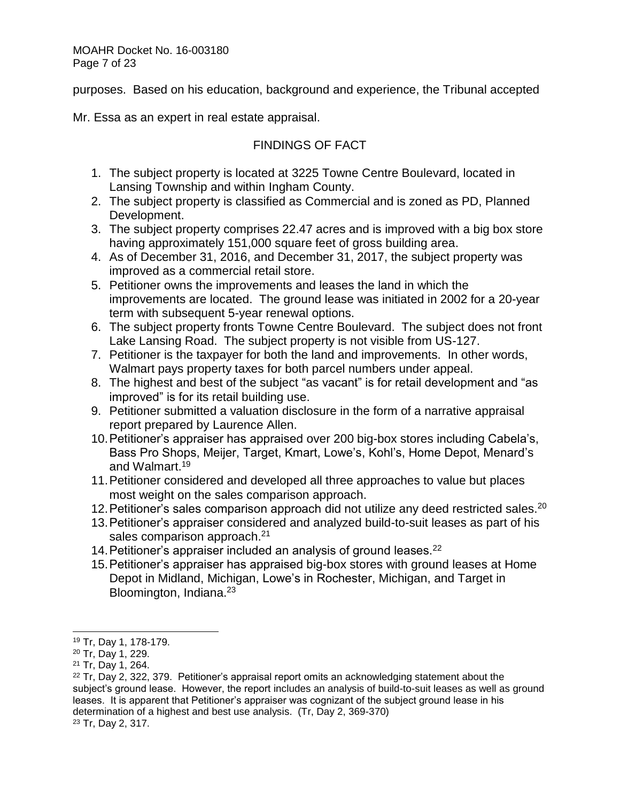MOAHR Docket No. 16-003180 Page 7 of 23

purposes. Based on his education, background and experience, the Tribunal accepted

Mr. Essa as an expert in real estate appraisal.

# FINDINGS OF FACT

- 1. The subject property is located at 3225 Towne Centre Boulevard, located in Lansing Township and within Ingham County.
- 2. The subject property is classified as Commercial and is zoned as PD, Planned Development.
- 3. The subject property comprises 22.47 acres and is improved with a big box store having approximately 151,000 square feet of gross building area.
- 4. As of December 31, 2016, and December 31, 2017, the subject property was improved as a commercial retail store.
- 5. Petitioner owns the improvements and leases the land in which the improvements are located. The ground lease was initiated in 2002 for a 20-year term with subsequent 5-year renewal options.
- 6. The subject property fronts Towne Centre Boulevard. The subject does not front Lake Lansing Road. The subject property is not visible from US-127.
- 7. Petitioner is the taxpayer for both the land and improvements. In other words, Walmart pays property taxes for both parcel numbers under appeal.
- 8. The highest and best of the subject "as vacant" is for retail development and "as improved" is for its retail building use.
- 9. Petitioner submitted a valuation disclosure in the form of a narrative appraisal report prepared by Laurence Allen.
- 10.Petitioner's appraiser has appraised over 200 big-box stores including Cabela's, Bass Pro Shops, Meijer, Target, Kmart, Lowe's, Kohl's, Home Depot, Menard's and Walmart. 19
- 11.Petitioner considered and developed all three approaches to value but places most weight on the sales comparison approach.
- 12. Petitioner's sales comparison approach did not utilize any deed restricted sales.  $20$
- 13.Petitioner's appraiser considered and analyzed build-to-suit leases as part of his sales comparison approach.<sup>21</sup>
- 14. Petitioner's appraiser included an analysis of ground leases.<sup>22</sup>
- 15.Petitioner's appraiser has appraised big-box stores with ground leases at Home Depot in Midland, Michigan, Lowe's in Rochester, Michigan, and Target in Bloomington, Indiana.<sup>23</sup>

<sup>19</sup> Tr, Day 1, 178-179.

<sup>20</sup> Tr, Day 1, 229.

<sup>21</sup> Tr, Day 1, 264.

 $22$  Tr, Day 2, 322, 379. Petitioner's appraisal report omits an acknowledging statement about the subject's ground lease. However, the report includes an analysis of build-to-suit leases as well as ground leases. It is apparent that Petitioner's appraiser was cognizant of the subject ground lease in his determination of a highest and best use analysis. (Tr, Day 2, 369-370) <sup>23</sup> Tr, Day 2, 317.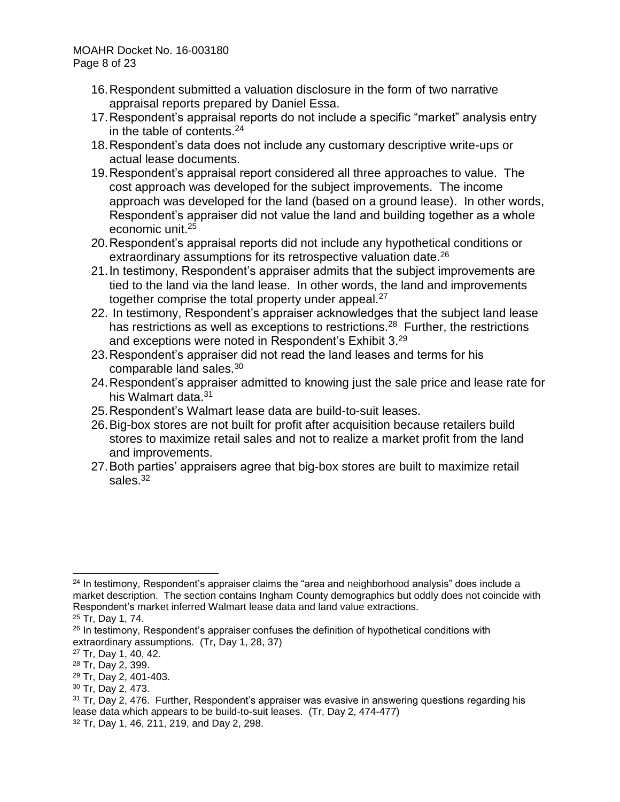MOAHR Docket No. 16-003180 Page 8 of 23

- 16.Respondent submitted a valuation disclosure in the form of two narrative appraisal reports prepared by Daniel Essa.
- 17.Respondent's appraisal reports do not include a specific "market" analysis entry in the table of contents.<sup>24</sup>
- 18.Respondent's data does not include any customary descriptive write-ups or actual lease documents.
- 19.Respondent's appraisal report considered all three approaches to value. The cost approach was developed for the subject improvements. The income approach was developed for the land (based on a ground lease). In other words, Respondent's appraiser did not value the land and building together as a whole economic unit.<sup>25</sup>
- 20.Respondent's appraisal reports did not include any hypothetical conditions or extraordinary assumptions for its retrospective valuation date.<sup>26</sup>
- 21.In testimony, Respondent's appraiser admits that the subject improvements are tied to the land via the land lease. In other words, the land and improvements together comprise the total property under appeal.<sup>27</sup>
- 22. In testimony, Respondent's appraiser acknowledges that the subject land lease has restrictions as well as exceptions to restrictions.<sup>28</sup> Further, the restrictions and exceptions were noted in Respondent's Exhibit 3.<sup>29</sup>
- 23.Respondent's appraiser did not read the land leases and terms for his comparable land sales.<sup>30</sup>
- 24.Respondent's appraiser admitted to knowing just the sale price and lease rate for his Walmart data.<sup>31</sup>
- 25.Respondent's Walmart lease data are build-to-suit leases.
- 26.Big-box stores are not built for profit after acquisition because retailers build stores to maximize retail sales and not to realize a market profit from the land and improvements.
- 27.Both parties' appraisers agree that big-box stores are built to maximize retail sales.<sup>32</sup>

l  $24$  In testimony, Respondent's appraiser claims the "area and neighborhood analysis" does include a market description. The section contains Ingham County demographics but oddly does not coincide with Respondent's market inferred Walmart lease data and land value extractions.

<sup>25</sup> Tr, Day 1, 74.

 $26$  In testimony, Respondent's appraiser confuses the definition of hypothetical conditions with extraordinary assumptions. (Tr, Day 1, 28, 37)

<sup>27</sup> Tr, Day 1, 40, 42.

<sup>28</sup> Tr, Day 2, 399.

<sup>29</sup> Tr, Day 2, 401-403.

<sup>30</sup> Tr, Day 2, 473.

<sup>&</sup>lt;sup>31</sup> Tr, Day 2, 476. Further, Respondent's appraiser was evasive in answering questions regarding his lease data which appears to be build-to-suit leases. (Tr, Day 2, 474-477) <sup>32</sup> Tr, Day 1, 46, 211, 219, and Day 2, 298.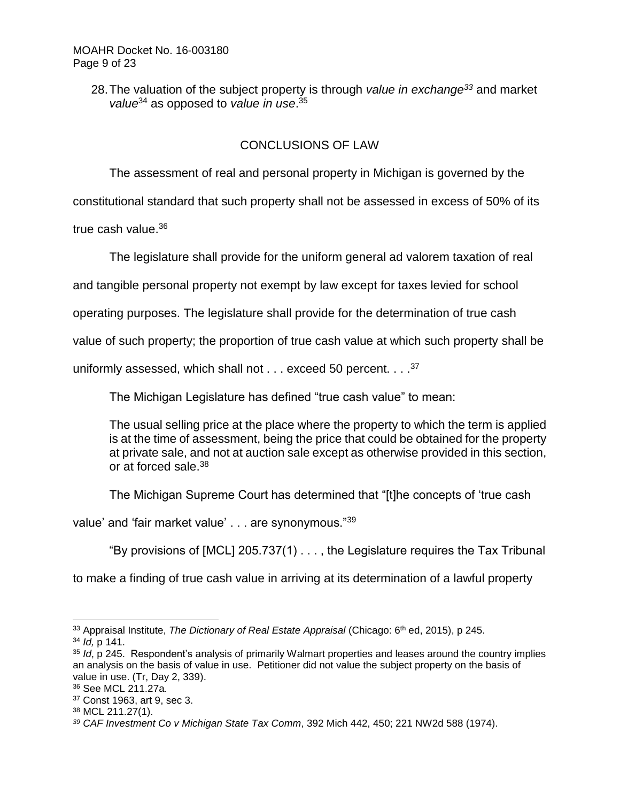28.The valuation of the subject property is through *value in exchange<sup>33</sup>* and market value<sup>34</sup> as opposed to value in use.<sup>35</sup>

# CONCLUSIONS OF LAW

The assessment of real and personal property in Michigan is governed by the

constitutional standard that such property shall not be assessed in excess of 50% of its

true cash value.<sup>36</sup>

The legislature shall provide for the uniform general ad valorem taxation of real

and tangible personal property not exempt by law except for taxes levied for school

operating purposes. The legislature shall provide for the determination of true cash

value of such property; the proportion of true cash value at which such property shall be

uniformly assessed, which shall not  $\dots$  exceed 50 percent.  $\dots$  37

The Michigan Legislature has defined "true cash value" to mean:

The usual selling price at the place where the property to which the term is applied is at the time of assessment, being the price that could be obtained for the property at private sale, and not at auction sale except as otherwise provided in this section, or at forced sale.<sup>38</sup>

The Michigan Supreme Court has determined that "[t]he concepts of 'true cash

value' and 'fair market value' . . . are synonymous."39

"By provisions of [MCL] 205.737(1) . . . , the Legislature requires the Tax Tribunal

to make a finding of true cash value in arriving at its determination of a lawful property

<sup>33</sup> Appraisal Institute, *The Dictionary of Real Estate Appraisal* (Chicago: 6th ed, 2015), p 245. <sup>34</sup> *Id,* p 141.

<sup>35</sup> *Id*, p 245. Respondent's analysis of primarily Walmart properties and leases around the country implies an analysis on the basis of value in use. Petitioner did not value the subject property on the basis of value in use. (Tr, Day 2, 339).

<sup>36</sup> See MCL 211.27a.

<sup>37</sup> Const 1963, art 9, sec 3.

<sup>38</sup> MCL 211.27(1).

*<sup>39</sup> CAF Investment Co v Michigan State Tax Comm*, 392 Mich 442, 450; 221 NW2d 588 (1974).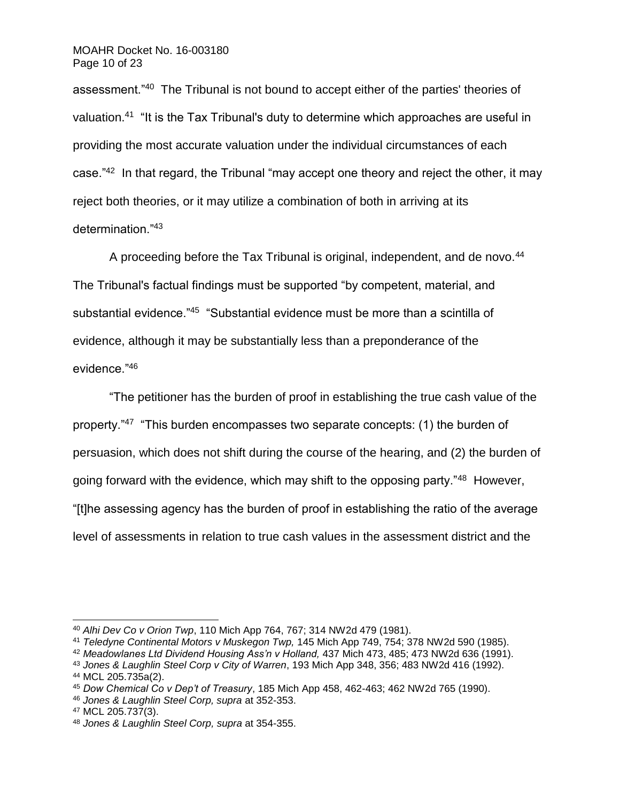assessment."<sup>40</sup> The Tribunal is not bound to accept either of the parties' theories of valuation.<sup>41</sup> "It is the Tax Tribunal's duty to determine which approaches are useful in providing the most accurate valuation under the individual circumstances of each case."<sup>42</sup> In that regard, the Tribunal "may accept one theory and reject the other, it may reject both theories, or it may utilize a combination of both in arriving at its determination."<sup>43</sup>

A proceeding before the Tax Tribunal is original, independent, and de novo.<sup>44</sup> The Tribunal's factual findings must be supported "by competent, material, and substantial evidence."<sup>45</sup> "Substantial evidence must be more than a scintilla of evidence, although it may be substantially less than a preponderance of the evidence."<sup>46</sup>

"The petitioner has the burden of proof in establishing the true cash value of the property."<sup>47</sup> "This burden encompasses two separate concepts: (1) the burden of persuasion, which does not shift during the course of the hearing, and (2) the burden of going forward with the evidence, which may shift to the opposing party."<sup>48</sup> However, "[t]he assessing agency has the burden of proof in establishing the ratio of the average level of assessments in relation to true cash values in the assessment district and the

<sup>40</sup> *Alhi Dev Co v Orion Twp*, 110 Mich App 764, 767; 314 NW2d 479 (1981).

<sup>41</sup> *Teledyne Continental Motors v Muskegon Twp,* 145 Mich App 749, 754; 378 NW2d 590 (1985).

<sup>42</sup> *Meadowlanes Ltd Dividend Housing Ass'n v Holland,* 437 Mich 473, 485; 473 NW2d 636 (1991).

<sup>43</sup> *Jones & Laughlin Steel Corp v City of Warren*, 193 Mich App 348, 356; 483 NW2d 416 (1992). <sup>44</sup> MCL 205.735a(2).

<sup>45</sup> *Dow Chemical Co v Dep't of Treasury*, 185 Mich App 458, 462-463; 462 NW2d 765 (1990).

<sup>46</sup> *Jones & Laughlin Steel Corp, supra* at 352-353.

<sup>47</sup> MCL 205.737(3).

<sup>48</sup> *Jones & Laughlin Steel Corp, supra* at 354-355.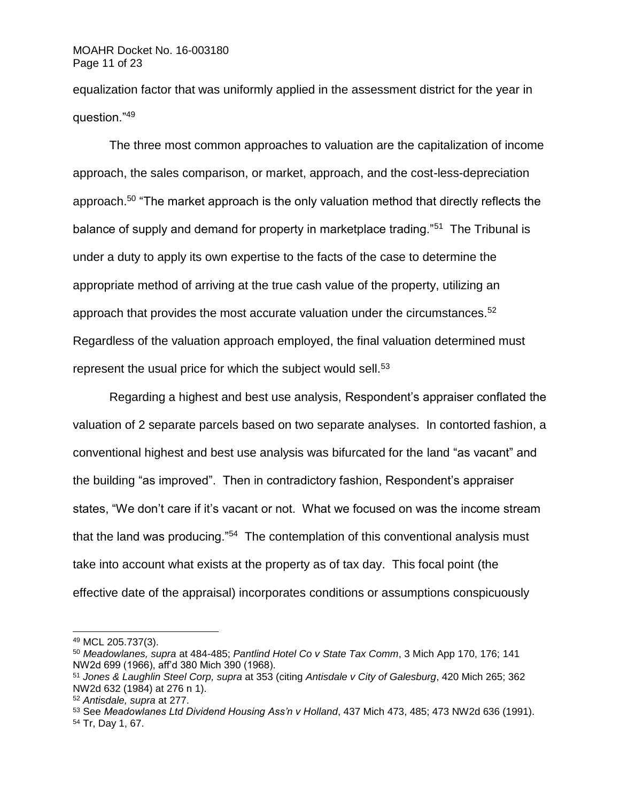equalization factor that was uniformly applied in the assessment district for the year in question."<sup>49</sup>

The three most common approaches to valuation are the capitalization of income approach, the sales comparison, or market, approach, and the cost-less-depreciation approach.<sup>50</sup> "The market approach is the only valuation method that directly reflects the balance of supply and demand for property in marketplace trading."<sup>51</sup> The Tribunal is under a duty to apply its own expertise to the facts of the case to determine the appropriate method of arriving at the true cash value of the property, utilizing an approach that provides the most accurate valuation under the circumstances.<sup>52</sup> Regardless of the valuation approach employed, the final valuation determined must represent the usual price for which the subject would sell.<sup>53</sup>

Regarding a highest and best use analysis, Respondent's appraiser conflated the valuation of 2 separate parcels based on two separate analyses. In contorted fashion, a conventional highest and best use analysis was bifurcated for the land "as vacant" and the building "as improved". Then in contradictory fashion, Respondent's appraiser states, "We don't care if it's vacant or not. What we focused on was the income stream that the land was producing."<sup>54</sup> The contemplation of this conventional analysis must take into account what exists at the property as of tax day. This focal point (the effective date of the appraisal) incorporates conditions or assumptions conspicuously

<sup>49</sup> MCL 205.737(3).

<sup>50</sup> *Meadowlanes, supra* at 484-485; *Pantlind Hotel Co v State Tax Comm*, 3 Mich App 170, 176; 141 NW2d 699 (1966), aff'd 380 Mich 390 (1968).

<sup>51</sup> *Jones & Laughlin Steel Corp, supra* at 353 (citing *Antisdale v City of Galesburg*, 420 Mich 265; 362 NW2d 632 (1984) at 276 n 1).

<sup>52</sup> *Antisdale, supra* at 277.

<sup>53</sup> See *Meadowlanes Ltd Dividend Housing Ass'n v Holland*, 437 Mich 473, 485; 473 NW2d 636 (1991).

<sup>54</sup> Tr, Day 1, 67.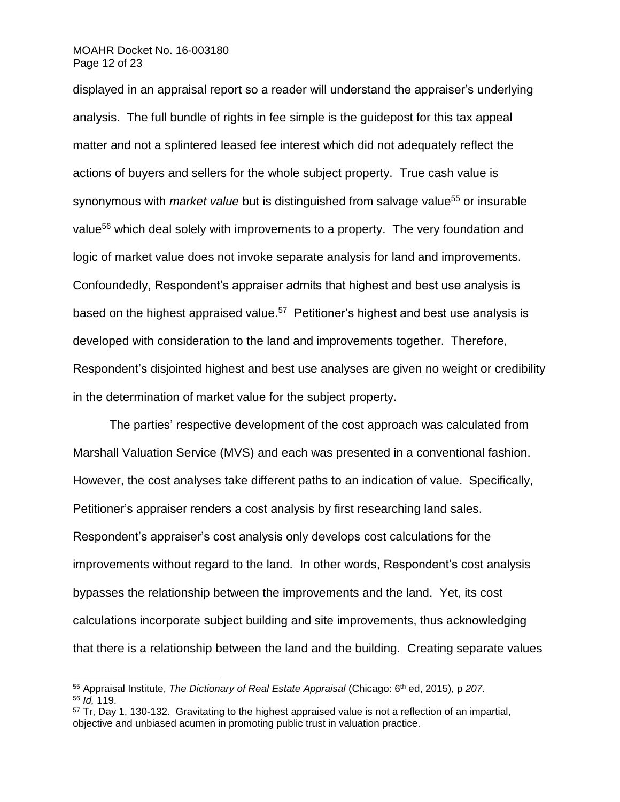#### MOAHR Docket No. 16-003180 Page 12 of 23

l

displayed in an appraisal report so a reader will understand the appraiser's underlying analysis. The full bundle of rights in fee simple is the guidepost for this tax appeal matter and not a splintered leased fee interest which did not adequately reflect the actions of buyers and sellers for the whole subject property. True cash value is synonymous with *market value* but is distinguished from salvage value<sup>55</sup> or insurable value<sup>56</sup> which deal solely with improvements to a property. The very foundation and logic of market value does not invoke separate analysis for land and improvements. Confoundedly, Respondent's appraiser admits that highest and best use analysis is based on the highest appraised value.<sup>57</sup> Petitioner's highest and best use analysis is developed with consideration to the land and improvements together. Therefore, Respondent's disjointed highest and best use analyses are given no weight or credibility in the determination of market value for the subject property.

The parties' respective development of the cost approach was calculated from Marshall Valuation Service (MVS) and each was presented in a conventional fashion. However, the cost analyses take different paths to an indication of value. Specifically, Petitioner's appraiser renders a cost analysis by first researching land sales. Respondent's appraiser's cost analysis only develops cost calculations for the improvements without regard to the land. In other words, Respondent's cost analysis bypasses the relationship between the improvements and the land. Yet, its cost calculations incorporate subject building and site improvements, thus acknowledging that there is a relationship between the land and the building. Creating separate values

<sup>55</sup> Appraisal Institute, *The Dictionary of Real Estate Appraisal* (Chicago: 6th ed, 2015)*,* p *207*. <sup>56</sup> *Id,* 119.

 $57$  Tr, Day 1, 130-132. Gravitating to the highest appraised value is not a reflection of an impartial, objective and unbiased acumen in promoting public trust in valuation practice.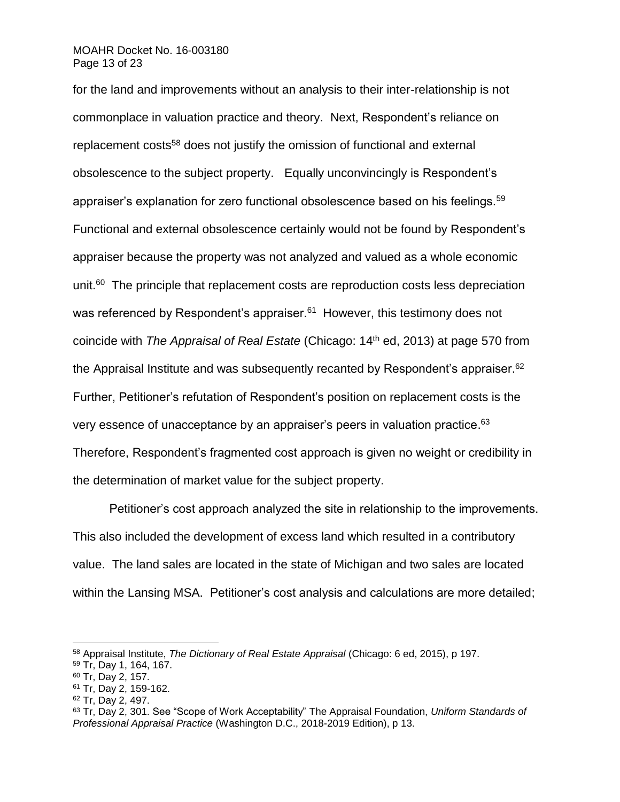#### MOAHR Docket No. 16-003180 Page 13 of 23

for the land and improvements without an analysis to their inter-relationship is not commonplace in valuation practice and theory. Next, Respondent's reliance on replacement costs<sup>58</sup> does not justify the omission of functional and external obsolescence to the subject property. Equally unconvincingly is Respondent's appraiser's explanation for zero functional obsolescence based on his feelings.<sup>59</sup> Functional and external obsolescence certainly would not be found by Respondent's appraiser because the property was not analyzed and valued as a whole economic unit.<sup>60</sup> The principle that replacement costs are reproduction costs less depreciation was referenced by Respondent's appraiser.<sup>61</sup> However, this testimony does not coincide with *The Appraisal of Real Estate* (Chicago: 14th ed, 2013) at page 570 from the Appraisal Institute and was subsequently recanted by Respondent's appraiser.<sup>62</sup> Further, Petitioner's refutation of Respondent's position on replacement costs is the very essence of unacceptance by an appraiser's peers in valuation practice.<sup>63</sup> Therefore, Respondent's fragmented cost approach is given no weight or credibility in the determination of market value for the subject property.

Petitioner's cost approach analyzed the site in relationship to the improvements. This also included the development of excess land which resulted in a contributory value. The land sales are located in the state of Michigan and two sales are located within the Lansing MSA. Petitioner's cost analysis and calculations are more detailed;

<sup>58</sup> Appraisal Institute, *The Dictionary of Real Estate Appraisal* (Chicago: 6 ed, 2015), p 197.

<sup>59</sup> Tr, Day 1, 164, 167.

<sup>60</sup> Tr, Day 2, 157.

<sup>61</sup> Tr, Day 2, 159-162.

<sup>62</sup> Tr, Day 2, 497.

<sup>63</sup> Tr, Day 2, 301. See "Scope of Work Acceptability" The Appraisal Foundation, *Uniform Standards of Professional Appraisal Practice* (Washington D.C., 2018-2019 Edition), p 13.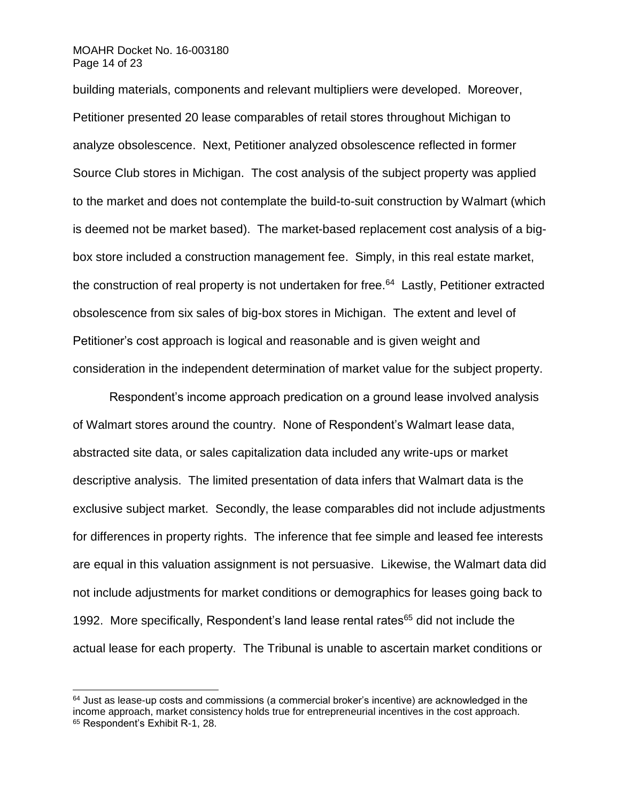#### MOAHR Docket No. 16-003180 Page 14 of 23

l

building materials, components and relevant multipliers were developed. Moreover, Petitioner presented 20 lease comparables of retail stores throughout Michigan to analyze obsolescence. Next, Petitioner analyzed obsolescence reflected in former Source Club stores in Michigan. The cost analysis of the subject property was applied to the market and does not contemplate the build-to-suit construction by Walmart (which is deemed not be market based). The market-based replacement cost analysis of a bigbox store included a construction management fee. Simply, in this real estate market, the construction of real property is not undertaken for free.<sup>64</sup> Lastly, Petitioner extracted obsolescence from six sales of big-box stores in Michigan. The extent and level of Petitioner's cost approach is logical and reasonable and is given weight and consideration in the independent determination of market value for the subject property.

Respondent's income approach predication on a ground lease involved analysis of Walmart stores around the country. None of Respondent's Walmart lease data, abstracted site data, or sales capitalization data included any write-ups or market descriptive analysis. The limited presentation of data infers that Walmart data is the exclusive subject market. Secondly, the lease comparables did not include adjustments for differences in property rights. The inference that fee simple and leased fee interests are equal in this valuation assignment is not persuasive. Likewise, the Walmart data did not include adjustments for market conditions or demographics for leases going back to 1992. More specifically, Respondent's land lease rental rates<sup>65</sup> did not include the actual lease for each property. The Tribunal is unable to ascertain market conditions or

 $64$  Just as lease-up costs and commissions (a commercial broker's incentive) are acknowledged in the income approach, market consistency holds true for entrepreneurial incentives in the cost approach. <sup>65</sup> Respondent's Exhibit R-1, 28.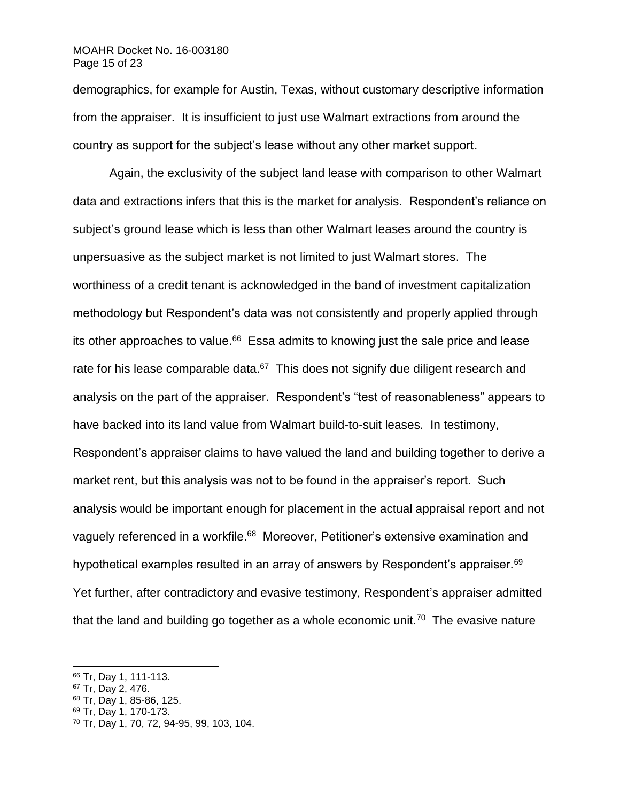#### MOAHR Docket No. 16-003180 Page 15 of 23

demographics, for example for Austin, Texas, without customary descriptive information from the appraiser. It is insufficient to just use Walmart extractions from around the country as support for the subject's lease without any other market support.

Again, the exclusivity of the subject land lease with comparison to other Walmart data and extractions infers that this is the market for analysis. Respondent's reliance on subject's ground lease which is less than other Walmart leases around the country is unpersuasive as the subject market is not limited to just Walmart stores. The worthiness of a credit tenant is acknowledged in the band of investment capitalization methodology but Respondent's data was not consistently and properly applied through its other approaches to value.<sup>66</sup> Essa admits to knowing just the sale price and lease rate for his lease comparable data. $67$  This does not signify due diligent research and analysis on the part of the appraiser. Respondent's "test of reasonableness" appears to have backed into its land value from Walmart build-to-suit leases. In testimony, Respondent's appraiser claims to have valued the land and building together to derive a market rent, but this analysis was not to be found in the appraiser's report. Such analysis would be important enough for placement in the actual appraisal report and not vaguely referenced in a workfile.<sup>68</sup> Moreover, Petitioner's extensive examination and hypothetical examples resulted in an array of answers by Respondent's appraiser. $^{69}$ Yet further, after contradictory and evasive testimony, Respondent's appraiser admitted that the land and building go together as a whole economic unit.<sup>70</sup> The evasive nature

l

<sup>69</sup> Tr, Day 1, 170-173.

<sup>66</sup> Tr, Day 1, 111-113.

<sup>67</sup> Tr, Day 2, 476.

<sup>&</sup>lt;sup>68</sup> Tr, Day 1, 85-86, 125.

<sup>70</sup> Tr, Day 1, 70, 72, 94-95, 99, 103, 104.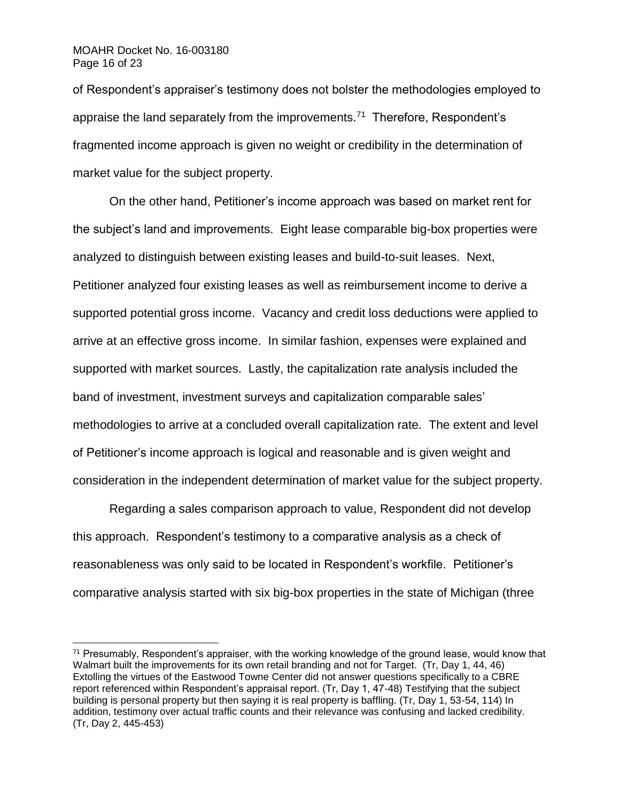#### MOAHR Docket No. 16-003180 Page 16 of 23

l

of Respondent's appraiser's testimony does not bolster the methodologies employed to appraise the land separately from the improvements.<sup>71</sup> Therefore, Respondent's fragmented income approach is given no weight or credibility in the determination of market value for the subject property.

On the other hand, Petitioner's income approach was based on market rent for the subject's land and improvements. Eight lease comparable big-box properties were analyzed to distinguish between existing leases and build-to-suit leases. Next, Petitioner analyzed four existing leases as well as reimbursement income to derive a supported potential gross income. Vacancy and credit loss deductions were applied to arrive at an effective gross income. In similar fashion, expenses were explained and supported with market sources. Lastly, the capitalization rate analysis included the band of investment, investment surveys and capitalization comparable sales' methodologies to arrive at a concluded overall capitalization rate. The extent and level of Petitioner's income approach is logical and reasonable and is given weight and consideration in the independent determination of market value for the subject property.

Regarding a sales comparison approach to value, Respondent did not develop this approach. Respondent's testimony to a comparative analysis as a check of reasonableness was only said to be located in Respondent's workfile. Petitioner's comparative analysis started with six big-box properties in the state of Michigan (three

 $71$  Presumably, Respondent's appraiser, with the working knowledge of the ground lease, would know that Walmart built the improvements for its own retail branding and not for Target. (Tr, Day 1, 44, 46) Extolling the virtues of the Eastwood Towne Center did not answer questions specifically to a CBRE report referenced within Respondent's appraisal report. (Tr, Day 1, 47-48) Testifying that the subject building is personal property but then saying it is real property is baffling. (Tr, Day 1, 53-54, 114) In addition, testimony over actual traffic counts and their relevance was confusing and lacked credibility. (Tr, Day 2, 445-453)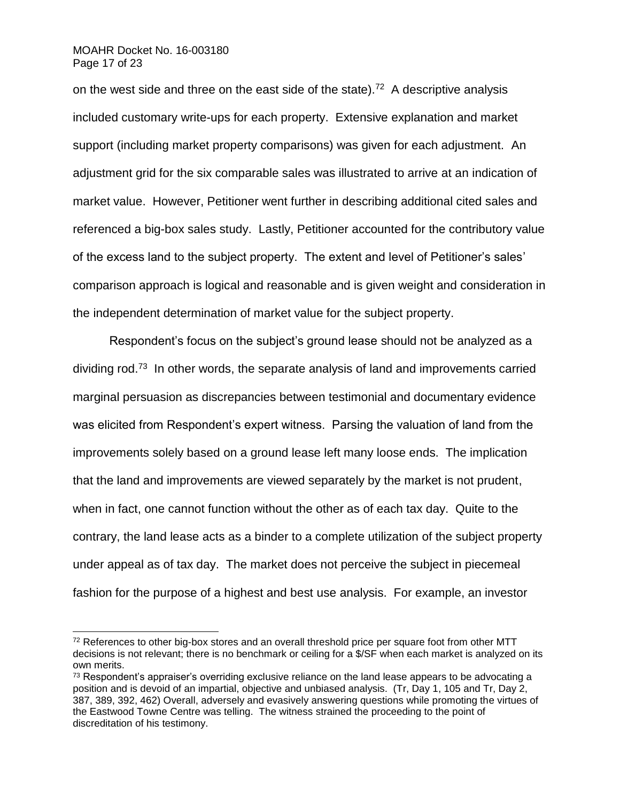#### MOAHR Docket No. 16-003180 Page 17 of 23

l

on the west side and three on the east side of the state).<sup>72</sup> A descriptive analysis included customary write-ups for each property. Extensive explanation and market support (including market property comparisons) was given for each adjustment. An adjustment grid for the six comparable sales was illustrated to arrive at an indication of market value. However, Petitioner went further in describing additional cited sales and referenced a big-box sales study. Lastly, Petitioner accounted for the contributory value of the excess land to the subject property. The extent and level of Petitioner's sales' comparison approach is logical and reasonable and is given weight and consideration in the independent determination of market value for the subject property.

Respondent's focus on the subject's ground lease should not be analyzed as a dividing rod.<sup>73</sup> In other words, the separate analysis of land and improvements carried marginal persuasion as discrepancies between testimonial and documentary evidence was elicited from Respondent's expert witness. Parsing the valuation of land from the improvements solely based on a ground lease left many loose ends. The implication that the land and improvements are viewed separately by the market is not prudent, when in fact, one cannot function without the other as of each tax day. Quite to the contrary, the land lease acts as a binder to a complete utilization of the subject property under appeal as of tax day. The market does not perceive the subject in piecemeal fashion for the purpose of a highest and best use analysis. For example, an investor

 $72$  References to other big-box stores and an overall threshold price per square foot from other MTT decisions is not relevant; there is no benchmark or ceiling for a \$/SF when each market is analyzed on its own merits.

 $73$  Respondent's appraiser's overriding exclusive reliance on the land lease appears to be advocating a position and is devoid of an impartial, objective and unbiased analysis. (Tr, Day 1, 105 and Tr, Day 2, 387, 389, 392, 462) Overall, adversely and evasively answering questions while promoting the virtues of the Eastwood Towne Centre was telling. The witness strained the proceeding to the point of discreditation of his testimony.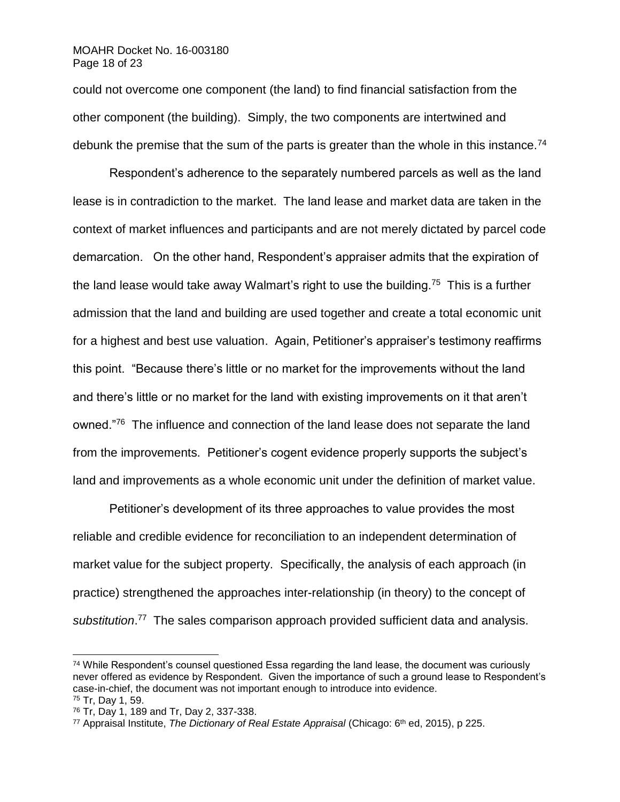could not overcome one component (the land) to find financial satisfaction from the other component (the building). Simply, the two components are intertwined and debunk the premise that the sum of the parts is greater than the whole in this instance.<sup>74</sup>

Respondent's adherence to the separately numbered parcels as well as the land lease is in contradiction to the market. The land lease and market data are taken in the context of market influences and participants and are not merely dictated by parcel code demarcation. On the other hand, Respondent's appraiser admits that the expiration of the land lease would take away Walmart's right to use the building.<sup>75</sup> This is a further admission that the land and building are used together and create a total economic unit for a highest and best use valuation. Again, Petitioner's appraiser's testimony reaffirms this point. "Because there's little or no market for the improvements without the land and there's little or no market for the land with existing improvements on it that aren't owned."<sup>76</sup> The influence and connection of the land lease does not separate the land from the improvements. Petitioner's cogent evidence properly supports the subject's land and improvements as a whole economic unit under the definition of market value.

Petitioner's development of its three approaches to value provides the most reliable and credible evidence for reconciliation to an independent determination of market value for the subject property. Specifically, the analysis of each approach (in practice) strengthened the approaches inter-relationship (in theory) to the concept of substitution.<sup>77</sup> The sales comparison approach provided sufficient data and analysis.

 $74$  While Respondent's counsel questioned Essa regarding the land lease, the document was curiously never offered as evidence by Respondent. Given the importance of such a ground lease to Respondent's case-in-chief, the document was not important enough to introduce into evidence. <sup>75</sup> Tr, Day 1, 59.

<sup>76</sup> Tr, Day 1, 189 and Tr, Day 2, 337-338.

<sup>77</sup> Appraisal Institute, *The Dictionary of Real Estate Appraisal* (Chicago: 6th ed, 2015), p 225.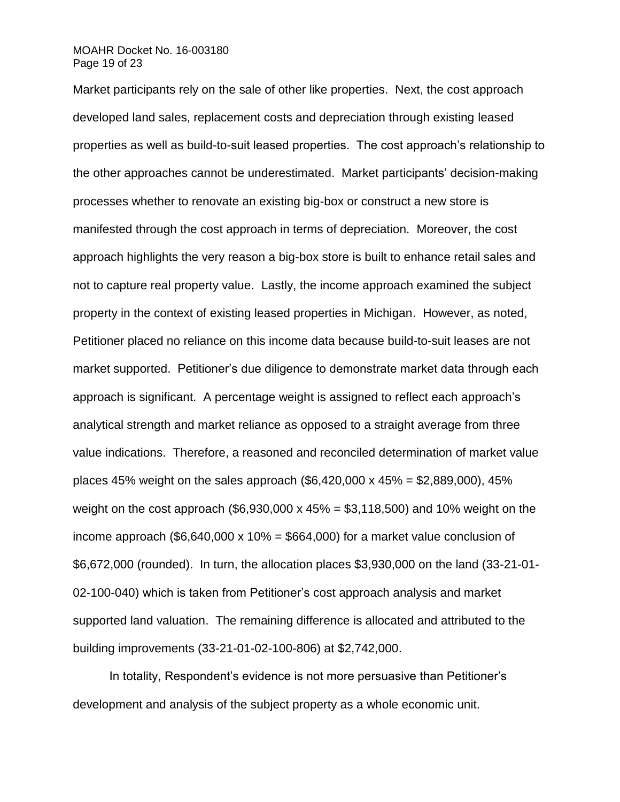#### MOAHR Docket No. 16-003180 Page 19 of 23

Market participants rely on the sale of other like properties. Next, the cost approach developed land sales, replacement costs and depreciation through existing leased properties as well as build-to-suit leased properties. The cost approach's relationship to the other approaches cannot be underestimated. Market participants' decision-making processes whether to renovate an existing big-box or construct a new store is manifested through the cost approach in terms of depreciation. Moreover, the cost approach highlights the very reason a big-box store is built to enhance retail sales and not to capture real property value. Lastly, the income approach examined the subject property in the context of existing leased properties in Michigan. However, as noted, Petitioner placed no reliance on this income data because build-to-suit leases are not market supported. Petitioner's due diligence to demonstrate market data through each approach is significant. A percentage weight is assigned to reflect each approach's analytical strength and market reliance as opposed to a straight average from three value indications. Therefore, a reasoned and reconciled determination of market value places 45% weight on the sales approach  $(\$6.420.000 \times 45\% = \$2.889.000)$ , 45% weight on the cost approach (\$6,930,000 x  $45\% = $3,118,500$ ) and 10% weight on the income approach (\$6,640,000 x 10% = \$664,000) for a market value conclusion of \$6,672,000 (rounded). In turn, the allocation places \$3,930,000 on the land (33-21-01- 02-100-040) which is taken from Petitioner's cost approach analysis and market supported land valuation. The remaining difference is allocated and attributed to the building improvements (33-21-01-02-100-806) at \$2,742,000.

In totality, Respondent's evidence is not more persuasive than Petitioner's development and analysis of the subject property as a whole economic unit.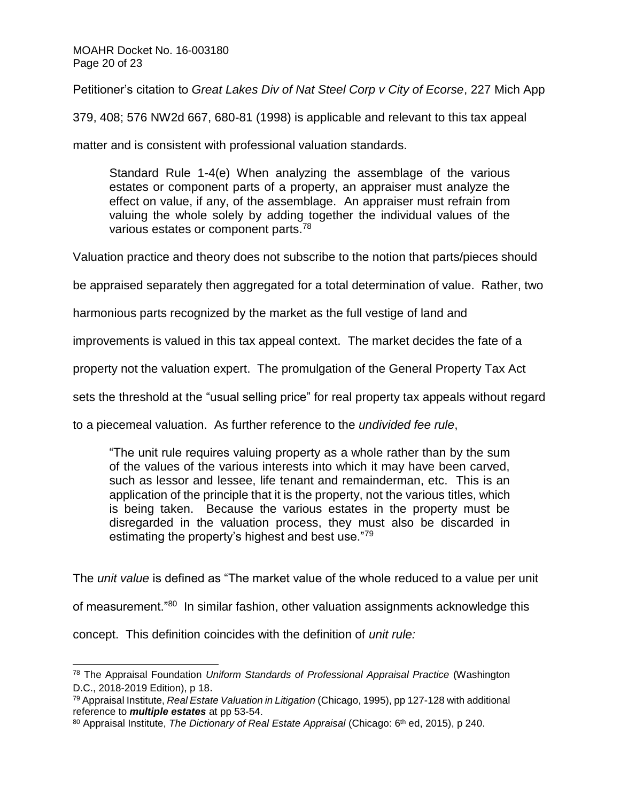Petitioner's citation to *Great Lakes Div of Nat Steel Corp v City of Ecorse*, 227 Mich App

379, 408; 576 NW2d 667, 680-81 (1998) is applicable and relevant to this tax appeal

matter and is consistent with professional valuation standards.

Standard Rule 1-4(e) When analyzing the assemblage of the various estates or component parts of a property, an appraiser must analyze the effect on value, if any, of the assemblage. An appraiser must refrain from valuing the whole solely by adding together the individual values of the various estates or component parts.<sup>78</sup>

Valuation practice and theory does not subscribe to the notion that parts/pieces should

be appraised separately then aggregated for a total determination of value. Rather, two

harmonious parts recognized by the market as the full vestige of land and

improvements is valued in this tax appeal context. The market decides the fate of a

property not the valuation expert. The promulgation of the General Property Tax Act

sets the threshold at the "usual selling price" for real property tax appeals without regard

to a piecemeal valuation. As further reference to the *undivided fee rule*,

"The unit rule requires valuing property as a whole rather than by the sum of the values of the various interests into which it may have been carved, such as lessor and lessee, life tenant and remainderman, etc. This is an application of the principle that it is the property, not the various titles, which is being taken. Because the various estates in the property must be disregarded in the valuation process, they must also be discarded in estimating the property's highest and best use."79

The *unit value* is defined as "The market value of the whole reduced to a value per unit

of measurement."<sup>80</sup> In similar fashion, other valuation assignments acknowledge this

concept. This definition coincides with the definition of *unit rule:*

<sup>78</sup> The Appraisal Foundation *Uniform Standards of Professional Appraisal Practice* (Washington D.C., 2018-2019 Edition), p 18.

<sup>79</sup> Appraisal Institute, *Real Estate Valuation in Litigation* (Chicago, 1995), pp 127-128 with additional reference to *multiple estates* at pp 53-54.

<sup>80</sup> Appraisal Institute, *The Dictionary of Real Estate Appraisal* (Chicago: 6th ed, 2015), p 240.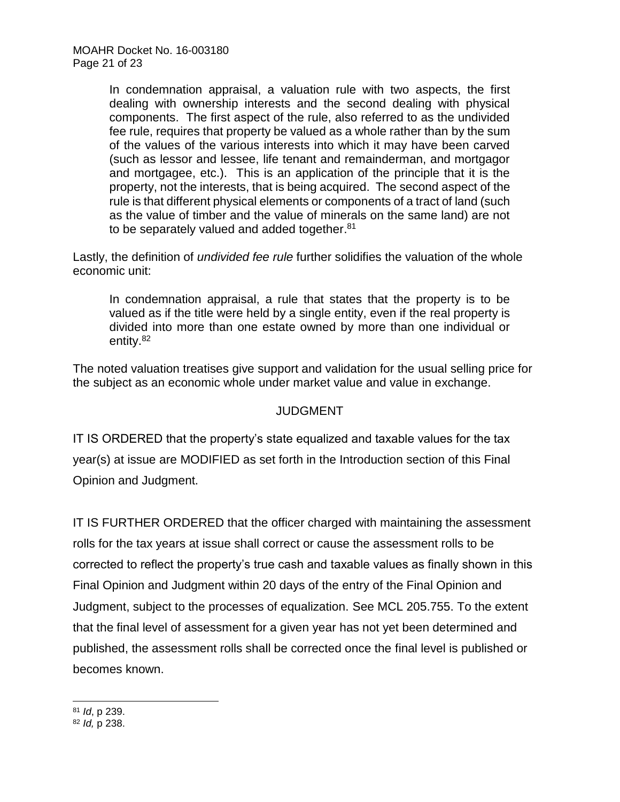In condemnation appraisal, a valuation rule with two aspects, the first dealing with ownership interests and the second dealing with physical components. The first aspect of the rule, also referred to as the undivided fee rule, requires that property be valued as a whole rather than by the sum of the values of the various interests into which it may have been carved (such as lessor and lessee, life tenant and remainderman, and mortgagor and mortgagee, etc.). This is an application of the principle that it is the property, not the interests, that is being acquired. The second aspect of the rule is that different physical elements or components of a tract of land (such as the value of timber and the value of minerals on the same land) are not to be separately valued and added together.<sup>81</sup>

Lastly, the definition of *undivided fee rule* further solidifies the valuation of the whole economic unit:

In condemnation appraisal, a rule that states that the property is to be valued as if the title were held by a single entity, even if the real property is divided into more than one estate owned by more than one individual or entity.<sup>82</sup>

The noted valuation treatises give support and validation for the usual selling price for the subject as an economic whole under market value and value in exchange.

## **JUDGMENT**

IT IS ORDERED that the property's state equalized and taxable values for the tax year(s) at issue are MODIFIED as set forth in the Introduction section of this Final Opinion and Judgment.

IT IS FURTHER ORDERED that the officer charged with maintaining the assessment rolls for the tax years at issue shall correct or cause the assessment rolls to be corrected to reflect the property's true cash and taxable values as finally shown in this Final Opinion and Judgment within 20 days of the entry of the Final Opinion and Judgment, subject to the processes of equalization. See MCL 205.755. To the extent that the final level of assessment for a given year has not yet been determined and published, the assessment rolls shall be corrected once the final level is published or becomes known.

<sup>81</sup> *Id*, p 239.

<sup>82</sup> *Id,* p 238.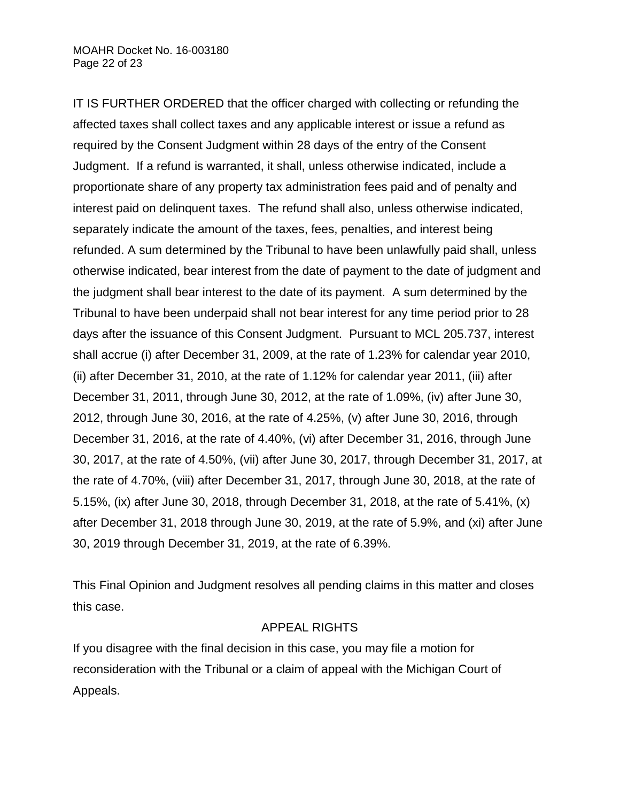IT IS FURTHER ORDERED that the officer charged with collecting or refunding the affected taxes shall collect taxes and any applicable interest or issue a refund as required by the Consent Judgment within 28 days of the entry of the Consent Judgment. If a refund is warranted, it shall, unless otherwise indicated, include a proportionate share of any property tax administration fees paid and of penalty and interest paid on delinquent taxes. The refund shall also, unless otherwise indicated, separately indicate the amount of the taxes, fees, penalties, and interest being refunded. A sum determined by the Tribunal to have been unlawfully paid shall, unless otherwise indicated, bear interest from the date of payment to the date of judgment and the judgment shall bear interest to the date of its payment. A sum determined by the Tribunal to have been underpaid shall not bear interest for any time period prior to 28 days after the issuance of this Consent Judgment. Pursuant to MCL 205.737, interest shall accrue (i) after December 31, 2009, at the rate of 1.23% for calendar year 2010, (ii) after December 31, 2010, at the rate of 1.12% for calendar year 2011, (iii) after December 31, 2011, through June 30, 2012, at the rate of 1.09%, (iv) after June 30, 2012, through June 30, 2016, at the rate of 4.25%, (v) after June 30, 2016, through December 31, 2016, at the rate of 4.40%, (vi) after December 31, 2016, through June 30, 2017, at the rate of 4.50%, (vii) after June 30, 2017, through December 31, 2017, at the rate of 4.70%, (viii) after December 31, 2017, through June 30, 2018, at the rate of 5.15%, (ix) after June 30, 2018, through December 31, 2018, at the rate of 5.41%, (x) after December 31, 2018 through June 30, 2019, at the rate of 5.9%, and (xi) after June 30, 2019 through December 31, 2019, at the rate of 6.39%.

This Final Opinion and Judgment resolves all pending claims in this matter and closes this case.

## APPEAL RIGHTS

If you disagree with the final decision in this case, you may file a motion for reconsideration with the Tribunal or a claim of appeal with the Michigan Court of Appeals.